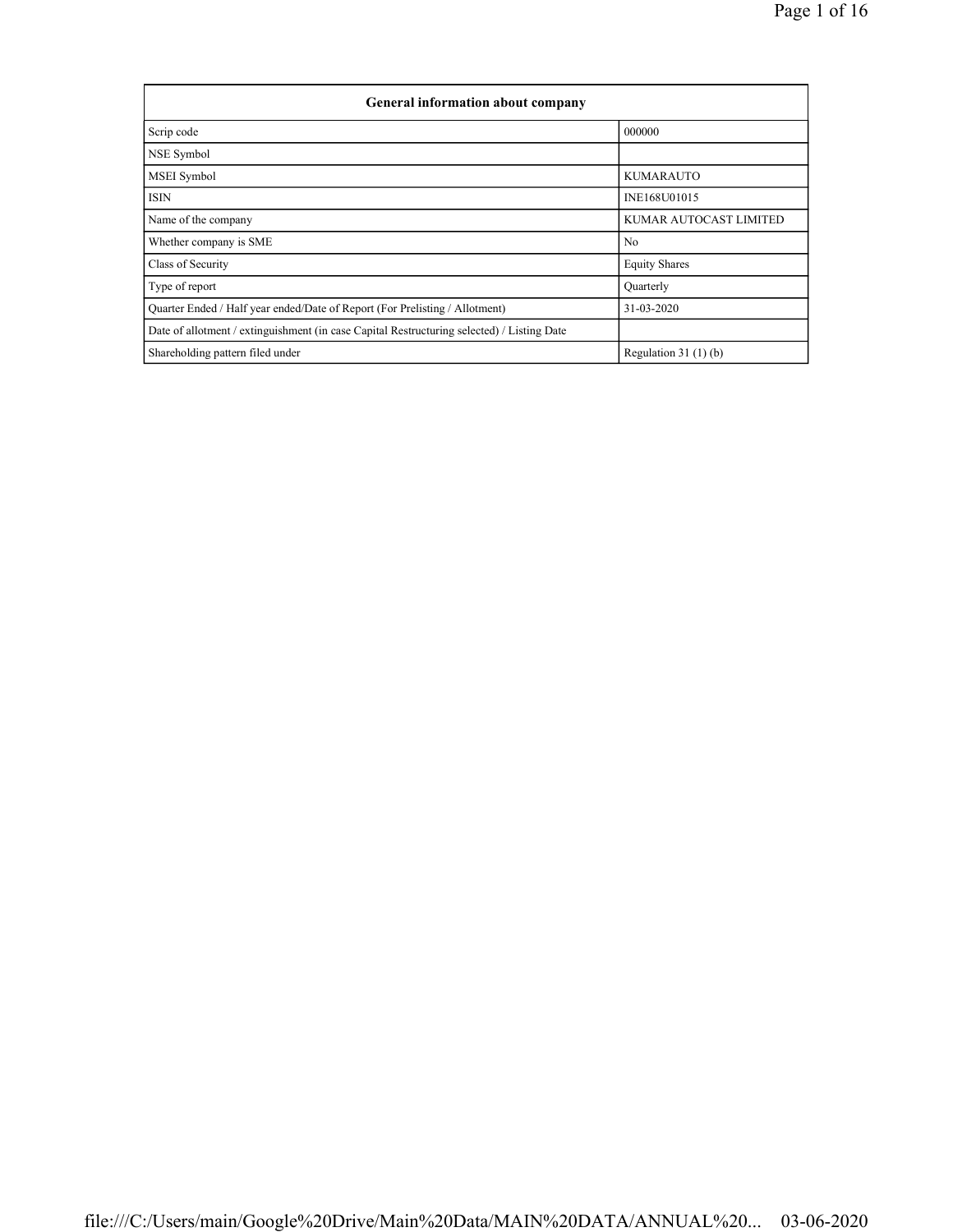| <b>General information about company</b>                                                   |                               |
|--------------------------------------------------------------------------------------------|-------------------------------|
| Scrip code                                                                                 | 000000                        |
| NSE Symbol                                                                                 |                               |
| MSEI Symbol                                                                                | <b>KUMARAUTO</b>              |
| <b>ISIN</b>                                                                                | INE168U01015                  |
| Name of the company                                                                        | <b>KUMAR AUTOCAST LIMITED</b> |
| Whether company is SME                                                                     | N <sub>0</sub>                |
| Class of Security                                                                          | <b>Equity Shares</b>          |
| Type of report                                                                             | Quarterly                     |
| Quarter Ended / Half year ended/Date of Report (For Prelisting / Allotment)                | 31-03-2020                    |
| Date of allotment / extinguishment (in case Capital Restructuring selected) / Listing Date |                               |
| Shareholding pattern filed under                                                           | Regulation $31(1)(b)$         |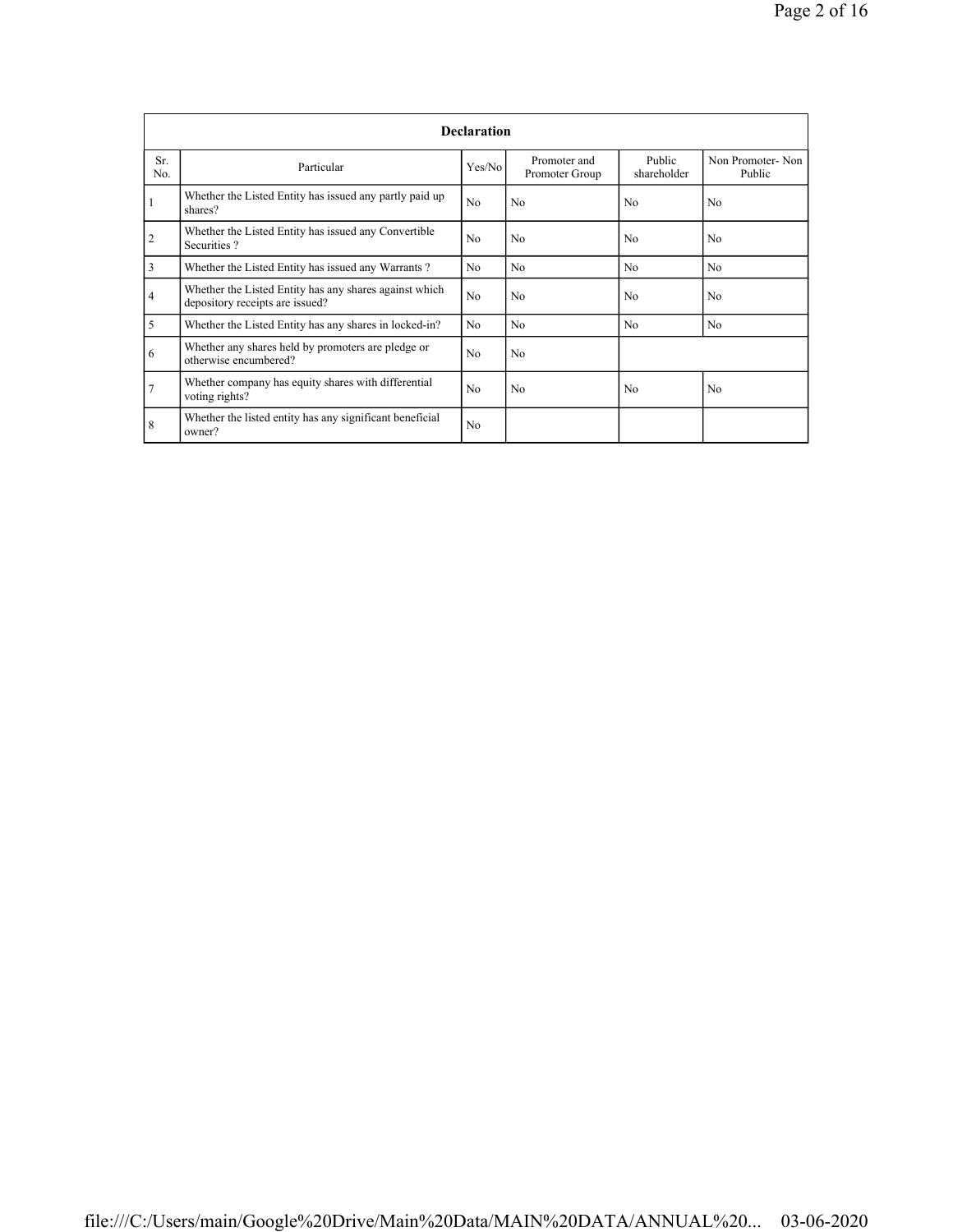|                | <b>Declaration</b>                                                                        |                |                                |                       |                            |  |  |  |  |  |  |
|----------------|-------------------------------------------------------------------------------------------|----------------|--------------------------------|-----------------------|----------------------------|--|--|--|--|--|--|
| Sr.<br>No.     | Particular                                                                                | Yes/No         | Promoter and<br>Promoter Group | Public<br>shareholder | Non Promoter-Non<br>Public |  |  |  |  |  |  |
|                | Whether the Listed Entity has issued any partly paid up<br>shares?                        | N <sub>0</sub> | N <sub>0</sub>                 | N <sub>0</sub>        | No                         |  |  |  |  |  |  |
| $\overline{2}$ | Whether the Listed Entity has issued any Convertible<br>Securities?                       | No             | No                             | N <sub>0</sub>        | N <sub>0</sub>             |  |  |  |  |  |  |
| 3              | Whether the Listed Entity has issued any Warrants?                                        | N <sub>0</sub> | N <sub>0</sub>                 | N <sub>0</sub>        | N <sub>0</sub>             |  |  |  |  |  |  |
| 4              | Whether the Listed Entity has any shares against which<br>depository receipts are issued? | No             | No                             | N <sub>0</sub>        | N <sub>0</sub>             |  |  |  |  |  |  |
| 5              | Whether the Listed Entity has any shares in locked-in?                                    | N <sub>0</sub> | N <sub>0</sub>                 | N <sub>0</sub>        | N <sub>0</sub>             |  |  |  |  |  |  |
| 6              | Whether any shares held by promoters are pledge or<br>otherwise encumbered?               | No             | No                             |                       |                            |  |  |  |  |  |  |
| $\overline{7}$ | Whether company has equity shares with differential<br>voting rights?                     | No             | N <sub>0</sub>                 | N <sub>0</sub>        | N <sub>0</sub>             |  |  |  |  |  |  |
| 8              | Whether the listed entity has any significant beneficial<br>owner?                        | No             |                                |                       |                            |  |  |  |  |  |  |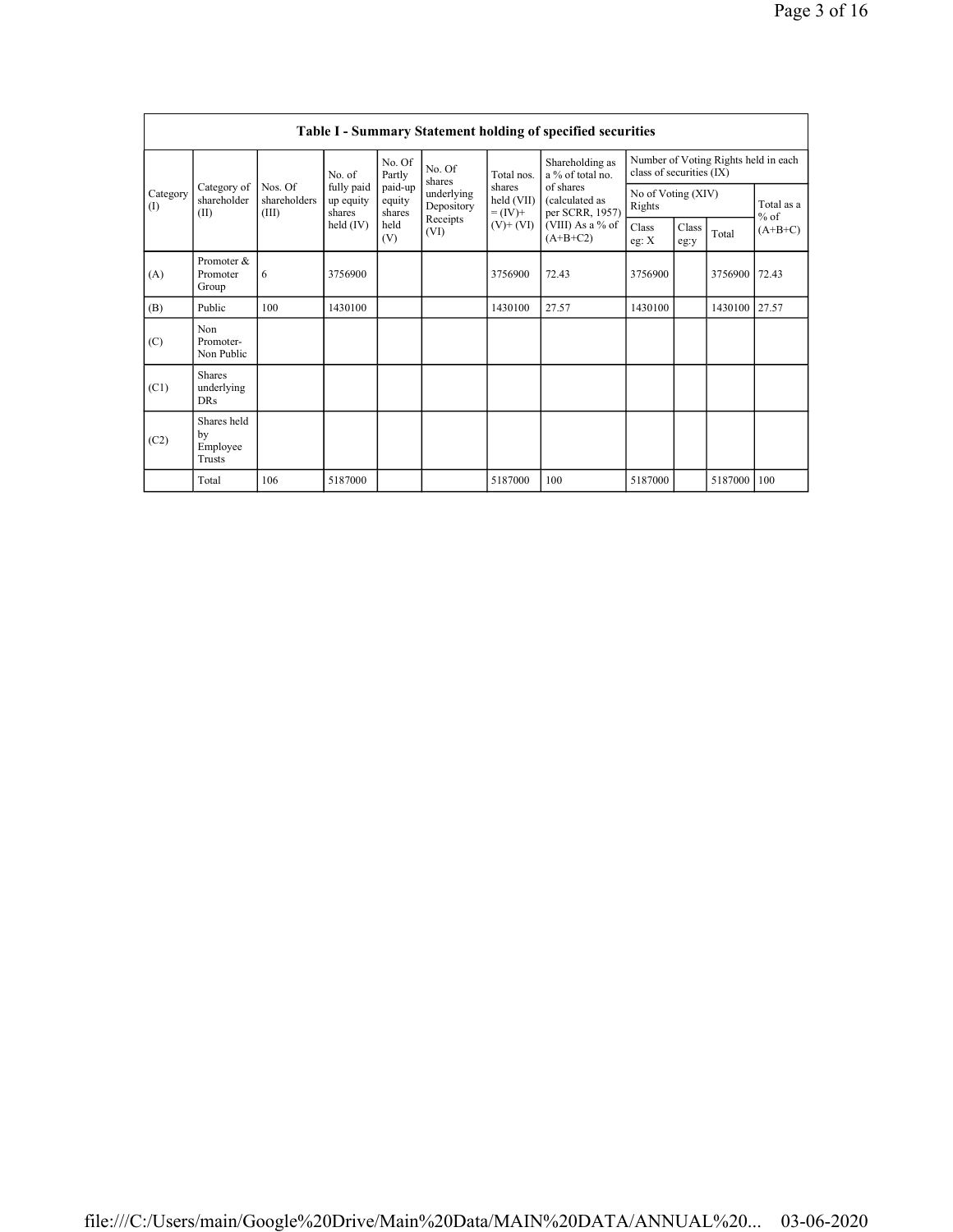|                 | Table I - Summary Statement holding of specified securities |                                  |                                   |                             |                                                                  |                                                                    |                                                                                                                         |                                                                  |               |         |                     |  |  |
|-----------------|-------------------------------------------------------------|----------------------------------|-----------------------------------|-----------------------------|------------------------------------------------------------------|--------------------------------------------------------------------|-------------------------------------------------------------------------------------------------------------------------|------------------------------------------------------------------|---------------|---------|---------------------|--|--|
|                 |                                                             |                                  | No. of                            | No. Of<br>Partly            | No. Of<br>shares<br>underlying<br>Depository<br>Receipts<br>(VI) | Total nos.<br>shares<br>held (VII)<br>$= (IV) +$<br>$(V)$ + $(VI)$ | Shareholding as<br>a % of total no.<br>of shares<br>(calculated as<br>per SCRR, 1957)<br>(VIII) As a % of<br>$(A+B+C2)$ | Number of Voting Rights held in each<br>class of securities (IX) |               |         |                     |  |  |
| Category<br>(1) | Category of<br>shareholder<br>(II)                          | Nos. Of<br>shareholders<br>(III) | fully paid<br>up equity<br>shares | paid-up<br>equity<br>shares |                                                                  |                                                                    |                                                                                                                         | No of Voting (XIV)<br>Rights                                     |               |         | Total as a          |  |  |
|                 |                                                             |                                  | held $(IV)$                       | held<br>(V)                 |                                                                  |                                                                    |                                                                                                                         | Class<br>eg: $X$                                                 | Class<br>eg:y | Total   | $%$ of<br>$(A+B+C)$ |  |  |
| (A)             | Promoter &<br>Promoter<br>Group                             | 6                                | 3756900                           |                             |                                                                  | 3756900                                                            | 72.43                                                                                                                   | 3756900                                                          |               | 3756900 | 72.43               |  |  |
| (B)             | Public                                                      | 100                              | 1430100                           |                             |                                                                  | 1430100                                                            | 27.57                                                                                                                   | 1430100                                                          |               | 1430100 | 27.57               |  |  |
| (C)             | Non<br>Promoter-<br>Non Public                              |                                  |                                   |                             |                                                                  |                                                                    |                                                                                                                         |                                                                  |               |         |                     |  |  |
| (C1)            | <b>Shares</b><br>underlying<br><b>DRs</b>                   |                                  |                                   |                             |                                                                  |                                                                    |                                                                                                                         |                                                                  |               |         |                     |  |  |
| (C2)            | Shares held<br>by<br>Employee<br>Trusts                     |                                  |                                   |                             |                                                                  |                                                                    |                                                                                                                         |                                                                  |               |         |                     |  |  |
|                 | Total                                                       | 106                              | 5187000                           |                             |                                                                  | 5187000                                                            | 100                                                                                                                     | 5187000                                                          |               | 5187000 | 100                 |  |  |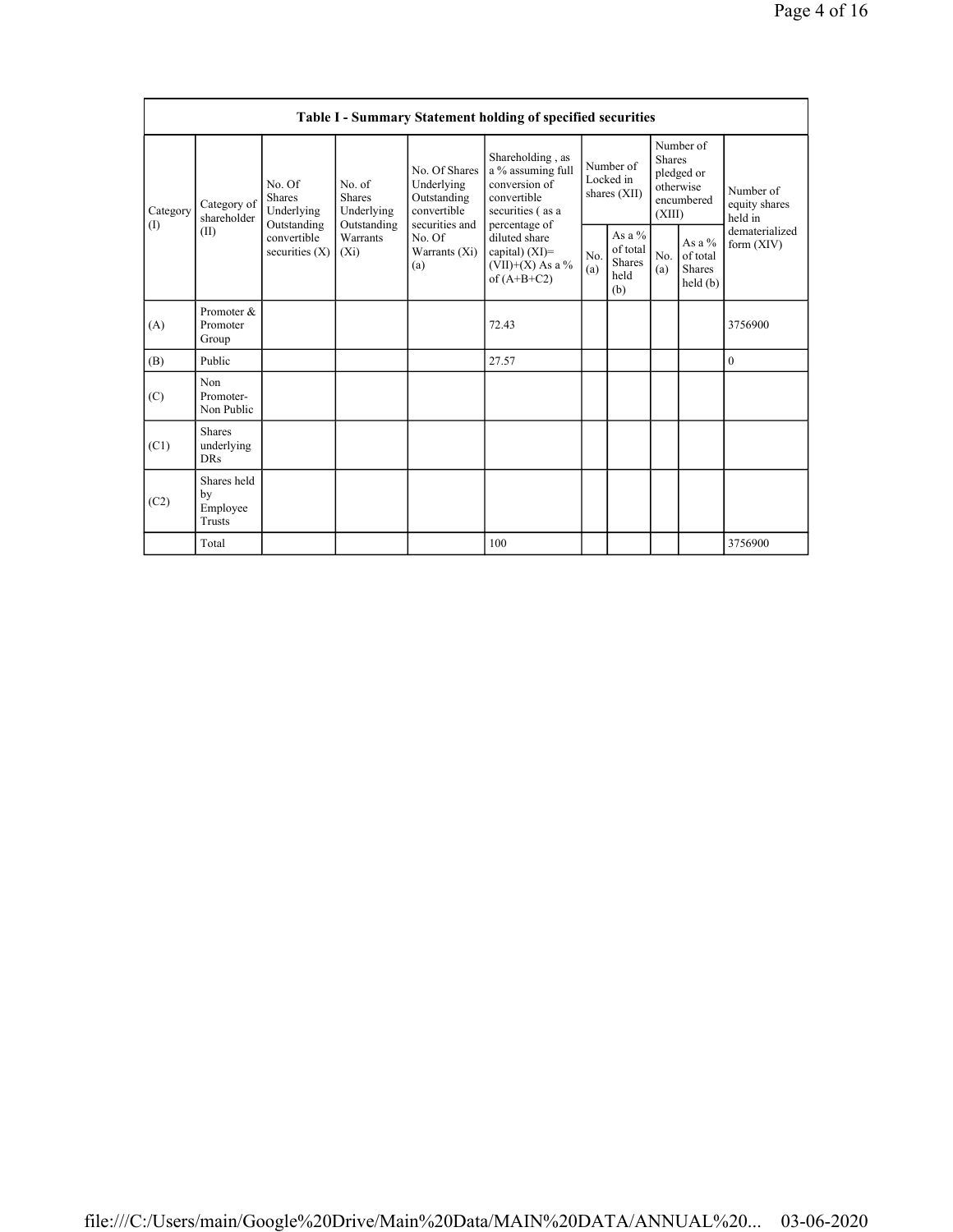|                        | Table I - Summary Statement holding of specified securities |                                                                                         |                                                                                    |                                                                                                               |                                                                                                            |                                          |                                               |                                                                               |                                                |                                       |  |  |  |
|------------------------|-------------------------------------------------------------|-----------------------------------------------------------------------------------------|------------------------------------------------------------------------------------|---------------------------------------------------------------------------------------------------------------|------------------------------------------------------------------------------------------------------------|------------------------------------------|-----------------------------------------------|-------------------------------------------------------------------------------|------------------------------------------------|---------------------------------------|--|--|--|
| Category<br>(1)<br>(A) | Category of<br>shareholder<br>(II)                          | No. Of<br><b>Shares</b><br>Underlying<br>Outstanding<br>convertible<br>securities $(X)$ | No. of<br><b>Shares</b><br>Underlying<br>Outstanding<br><b>Warrants</b><br>$(X_i)$ | No. Of Shares<br>Underlying<br>Outstanding<br>convertible<br>securities and<br>No. Of<br>Warrants (Xi)<br>(a) | Shareholding, as<br>a % assuming full<br>conversion of<br>convertible<br>securities (as a<br>percentage of | Number of<br>Locked in<br>shares $(XII)$ |                                               | Number of<br><b>Shares</b><br>pledged or<br>otherwise<br>encumbered<br>(XIII) |                                                | Number of<br>equity shares<br>held in |  |  |  |
|                        |                                                             |                                                                                         |                                                                                    |                                                                                                               | diluted share<br>capital) $(XI)$ =<br>(VII)+(X) As a $\%$<br>of $(A+B+C2)$                                 | No.<br>(a)                               | As a $%$<br>of total<br>Shares<br>held<br>(b) | No.<br>(a)                                                                    | As a %<br>of total<br><b>Shares</b><br>held(b) | dematerialized<br>form $(XIV)$        |  |  |  |
|                        | Promoter &<br>Promoter<br>Group                             |                                                                                         |                                                                                    |                                                                                                               | 72.43                                                                                                      |                                          |                                               |                                                                               |                                                | 3756900                               |  |  |  |
| (B)                    | Public                                                      |                                                                                         |                                                                                    |                                                                                                               | 27.57                                                                                                      |                                          |                                               |                                                                               |                                                | $\mathbf{0}$                          |  |  |  |
| (C)                    | Non<br>Promoter-<br>Non Public                              |                                                                                         |                                                                                    |                                                                                                               |                                                                                                            |                                          |                                               |                                                                               |                                                |                                       |  |  |  |
| (C1)                   | <b>Shares</b><br>underlying<br><b>DRs</b>                   |                                                                                         |                                                                                    |                                                                                                               |                                                                                                            |                                          |                                               |                                                                               |                                                |                                       |  |  |  |
| (C2)                   | Shares held<br>by<br>Employee<br>Trusts                     |                                                                                         |                                                                                    |                                                                                                               |                                                                                                            |                                          |                                               |                                                                               |                                                |                                       |  |  |  |
|                        | Total                                                       |                                                                                         |                                                                                    |                                                                                                               | 100                                                                                                        |                                          |                                               |                                                                               |                                                | 3756900                               |  |  |  |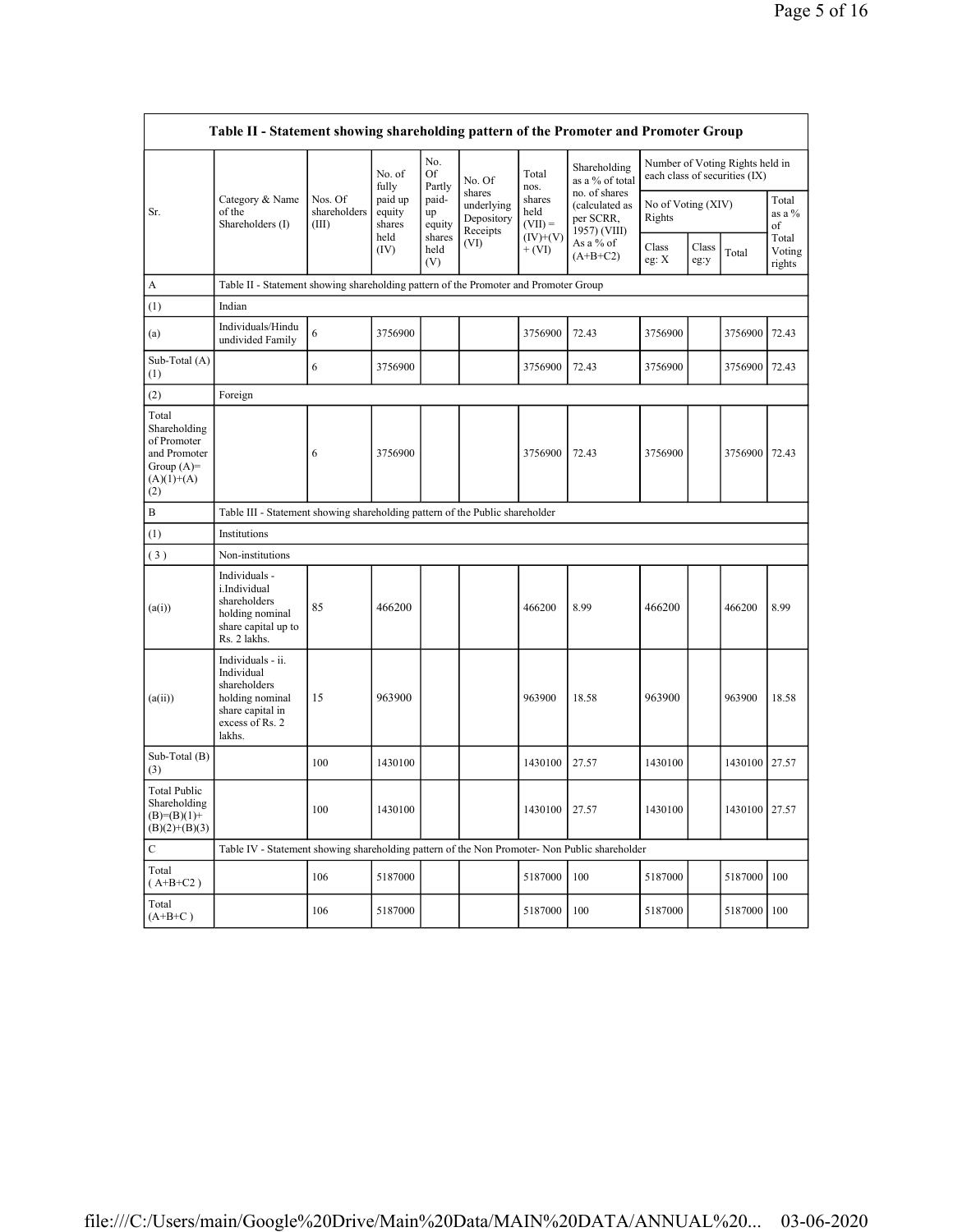|                                                                                             | Table II - Statement showing shareholding pattern of the Promoter and Promoter Group                                |                                  |                             |                                                |                                                |                             |                                                                                         |                              |               |                                                                  |                           |  |  |
|---------------------------------------------------------------------------------------------|---------------------------------------------------------------------------------------------------------------------|----------------------------------|-----------------------------|------------------------------------------------|------------------------------------------------|-----------------------------|-----------------------------------------------------------------------------------------|------------------------------|---------------|------------------------------------------------------------------|---------------------------|--|--|
|                                                                                             |                                                                                                                     |                                  | No. of<br>fully             | No.<br>Of<br>Partly                            | No. Of                                         | Total<br>nos.               | Shareholding<br>as a % of total                                                         |                              |               | Number of Voting Rights held in<br>each class of securities (IX) |                           |  |  |
| Sr.                                                                                         | Category & Name<br>of the<br>Shareholders (I)                                                                       | Nos. Of<br>shareholders<br>(III) | paid up<br>equity<br>shares | paid-<br>up<br>equity<br>shares<br>held<br>(V) | shares<br>underlying<br>Depository<br>Receipts | shares<br>held<br>$(VII) =$ | no. of shares<br>(calculated as<br>per SCRR,<br>1957) (VIII)<br>As a % of<br>$(A+B+C2)$ | No of Voting (XIV)<br>Rights |               |                                                                  | Total<br>as a $%$<br>of   |  |  |
|                                                                                             |                                                                                                                     |                                  | held<br>(IV)                |                                                | (VI)                                           | $(IV)+(V)$<br>$+ (VI)$      |                                                                                         | Class<br>eg: $X$             | Class<br>eg:y | Total                                                            | Total<br>Voting<br>rights |  |  |
| A                                                                                           | Table II - Statement showing shareholding pattern of the Promoter and Promoter Group                                |                                  |                             |                                                |                                                |                             |                                                                                         |                              |               |                                                                  |                           |  |  |
| (1)                                                                                         | Indian                                                                                                              |                                  |                             |                                                |                                                |                             |                                                                                         |                              |               |                                                                  |                           |  |  |
| (a)                                                                                         | Individuals/Hindu<br>undivided Family                                                                               | 6                                | 3756900                     |                                                |                                                | 3756900                     | 72.43                                                                                   | 3756900                      |               | 3756900                                                          | 72.43                     |  |  |
| Sub-Total (A)<br>(1)                                                                        |                                                                                                                     | 6                                | 3756900                     |                                                |                                                | 3756900                     | 72.43                                                                                   | 3756900                      |               | 3756900                                                          | 72.43                     |  |  |
| (2)                                                                                         | Foreign                                                                                                             |                                  |                             |                                                |                                                |                             |                                                                                         |                              |               |                                                                  |                           |  |  |
| Total<br>Shareholding<br>of Promoter<br>and Promoter<br>Group $(A)=$<br>$(A)(1)+(A)$<br>(2) |                                                                                                                     | 6                                | 3756900                     |                                                |                                                | 3756900                     | 72.43                                                                                   | 3756900                      |               | 3756900                                                          | 72.43                     |  |  |
| $\, {\bf B}$                                                                                | Table III - Statement showing shareholding pattern of the Public shareholder                                        |                                  |                             |                                                |                                                |                             |                                                                                         |                              |               |                                                                  |                           |  |  |
| (1)                                                                                         | Institutions                                                                                                        |                                  |                             |                                                |                                                |                             |                                                                                         |                              |               |                                                                  |                           |  |  |
| (3)                                                                                         | Non-institutions                                                                                                    |                                  |                             |                                                |                                                |                             |                                                                                         |                              |               |                                                                  |                           |  |  |
| (a(i))                                                                                      | Individuals -<br>i.Individual<br>shareholders<br>holding nominal<br>share capital up to<br>Rs. 2 lakhs.             | 85                               | 466200                      |                                                |                                                | 466200                      | 8.99                                                                                    | 466200                       |               | 466200                                                           | 8.99                      |  |  |
| (a(ii))                                                                                     | Individuals - ii.<br>Individual<br>shareholders<br>holding nominal<br>share capital in<br>excess of Rs. 2<br>lakhs. | 15                               | 963900                      |                                                |                                                | 963900                      | 18.58                                                                                   | 963900                       |               | 963900                                                           | 18.58                     |  |  |
| Sub-Total (B)<br>(3)                                                                        |                                                                                                                     | 100                              | 1430100                     |                                                |                                                | 1430100                     | 27.57                                                                                   | 1430100                      |               | 1430100   27.57                                                  |                           |  |  |
| <b>Total Public</b><br>Shareholding<br>$(B)= (B)(1) +$<br>$(B)(2)+(B)(3)$                   |                                                                                                                     | 100                              | 1430100                     |                                                |                                                | 1430100                     | 27.57                                                                                   | 1430100                      |               | 1430100 27.57                                                    |                           |  |  |
| C                                                                                           | Table IV - Statement showing shareholding pattern of the Non Promoter-Non Public shareholder                        |                                  |                             |                                                |                                                |                             |                                                                                         |                              |               |                                                                  |                           |  |  |
| Total<br>$(A+B+C2)$                                                                         |                                                                                                                     | 106                              | 5187000                     |                                                |                                                | 5187000                     | 100                                                                                     | 5187000                      |               | 5187000                                                          | 100                       |  |  |
| Total<br>$(A+B+C)$                                                                          |                                                                                                                     | 106                              | 5187000                     |                                                |                                                | 5187000                     | 100                                                                                     | 5187000                      |               | 5187000                                                          | 100                       |  |  |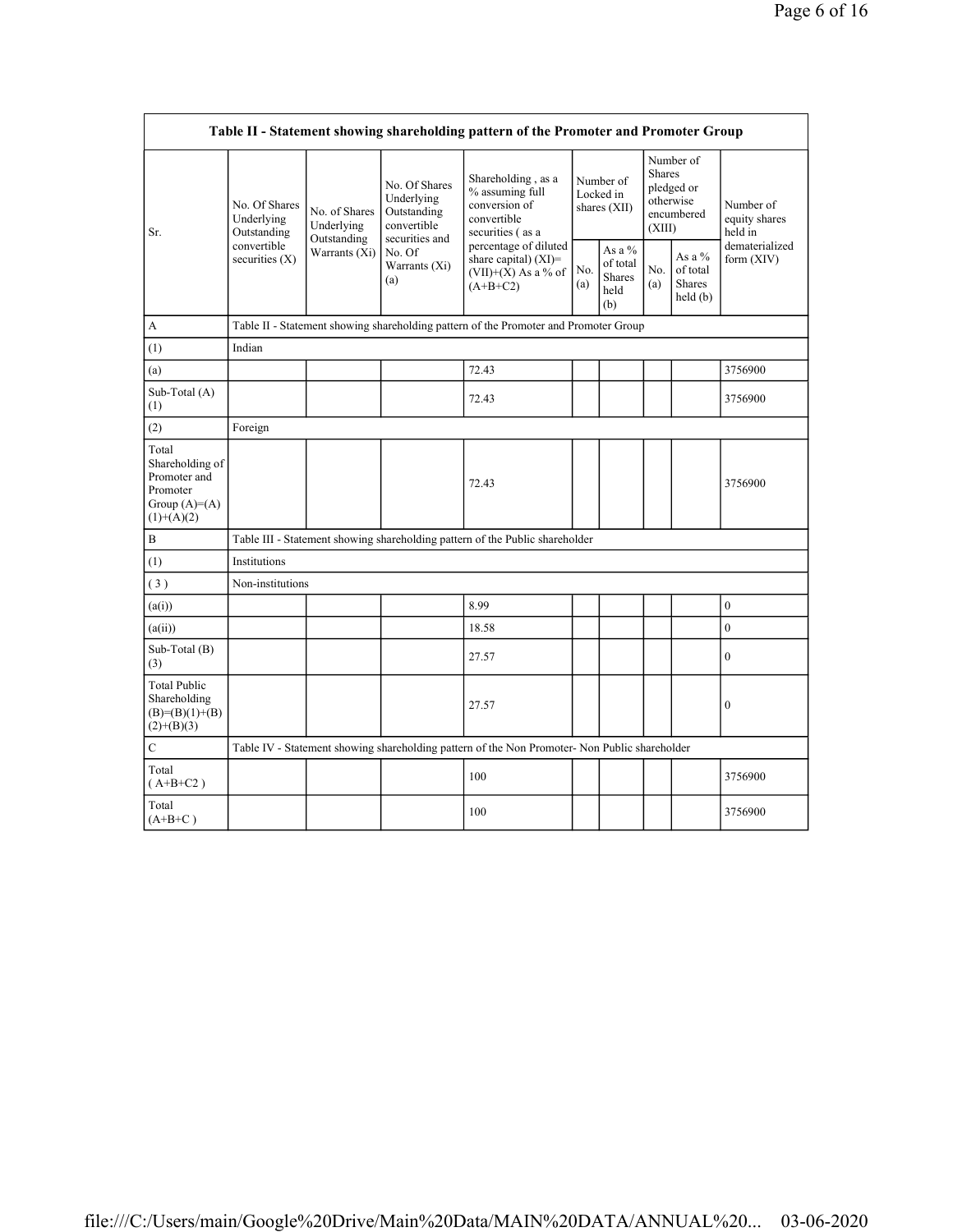|                                                                                          |                                            |                              |                                                           | Table II - Statement showing shareholding pattern of the Promoter and Promoter Group          |                                        |                                                      |                                                                               |                                                  |                                       |  |  |
|------------------------------------------------------------------------------------------|--------------------------------------------|------------------------------|-----------------------------------------------------------|-----------------------------------------------------------------------------------------------|----------------------------------------|------------------------------------------------------|-------------------------------------------------------------------------------|--------------------------------------------------|---------------------------------------|--|--|
| Sr.                                                                                      | No. Of Shares<br>Underlying<br>Outstanding | No. of Shares<br>Underlying  | No. Of Shares<br>Underlying<br>Outstanding<br>convertible | Shareholding, as a<br>% assuming full<br>conversion of<br>convertible<br>securities (as a     | Number of<br>Locked in<br>shares (XII) |                                                      | Number of<br><b>Shares</b><br>pledged or<br>otherwise<br>encumbered<br>(XIII) |                                                  | Number of<br>equity shares<br>held in |  |  |
|                                                                                          | convertible<br>securities $(X)$            | Outstanding<br>Warrants (Xi) | securities and<br>No. Of<br>Warrants (Xi)<br>(a)          | percentage of diluted<br>share capital) (XI)=<br>$(VII)+(X)$ As a % of<br>$(A+B+C2)$          | No.<br>(a)                             | As a $%$<br>of total<br><b>Shares</b><br>held<br>(b) | No.<br>(a)                                                                    | As a $%$<br>of total<br><b>Shares</b><br>held(b) | dematerialized<br>form $(XIV)$        |  |  |
| A                                                                                        |                                            |                              |                                                           | Table II - Statement showing shareholding pattern of the Promoter and Promoter Group          |                                        |                                                      |                                                                               |                                                  |                                       |  |  |
| (1)                                                                                      | Indian                                     |                              |                                                           |                                                                                               |                                        |                                                      |                                                                               |                                                  |                                       |  |  |
| (a)                                                                                      |                                            |                              |                                                           | 72.43                                                                                         |                                        |                                                      |                                                                               |                                                  | 3756900                               |  |  |
| Sub-Total (A)<br>(1)                                                                     |                                            |                              |                                                           | 72.43                                                                                         |                                        |                                                      |                                                                               |                                                  | 3756900                               |  |  |
| (2)                                                                                      | Foreign                                    |                              |                                                           |                                                                                               |                                        |                                                      |                                                                               |                                                  |                                       |  |  |
| Total<br>Shareholding of<br>Promoter and<br>Promoter<br>Group $(A)= (A)$<br>$(1)+(A)(2)$ |                                            |                              |                                                           | 72.43                                                                                         |                                        |                                                      |                                                                               |                                                  | 3756900                               |  |  |
| B                                                                                        |                                            |                              |                                                           | Table III - Statement showing shareholding pattern of the Public shareholder                  |                                        |                                                      |                                                                               |                                                  |                                       |  |  |
| (1)                                                                                      | Institutions                               |                              |                                                           |                                                                                               |                                        |                                                      |                                                                               |                                                  |                                       |  |  |
| (3)                                                                                      | Non-institutions                           |                              |                                                           |                                                                                               |                                        |                                                      |                                                                               |                                                  |                                       |  |  |
| (a(i))                                                                                   |                                            |                              |                                                           | 8.99                                                                                          |                                        |                                                      |                                                                               |                                                  | $\boldsymbol{0}$                      |  |  |
| (a(ii))                                                                                  |                                            |                              |                                                           | 18.58                                                                                         |                                        |                                                      |                                                                               |                                                  | $\overline{0}$                        |  |  |
| Sub-Total (B)<br>(3)                                                                     |                                            |                              |                                                           | 27.57                                                                                         |                                        |                                                      |                                                                               |                                                  | 0                                     |  |  |
| <b>Total Public</b><br>Shareholding<br>$(B)= (B)(1)+(B)$<br>$(2)+(B)(3)$                 |                                            |                              |                                                           | 27.57                                                                                         |                                        |                                                      |                                                                               |                                                  | $\boldsymbol{0}$                      |  |  |
| $\mathcal{C}$                                                                            |                                            |                              |                                                           | Table IV - Statement showing shareholding pattern of the Non Promoter- Non Public shareholder |                                        |                                                      |                                                                               |                                                  |                                       |  |  |
| Total<br>$(A+B+C2)$                                                                      |                                            |                              |                                                           | 100                                                                                           |                                        |                                                      |                                                                               |                                                  | 3756900                               |  |  |
| Total<br>$(A+B+C)$                                                                       |                                            |                              |                                                           | 100                                                                                           |                                        |                                                      |                                                                               |                                                  | 3756900                               |  |  |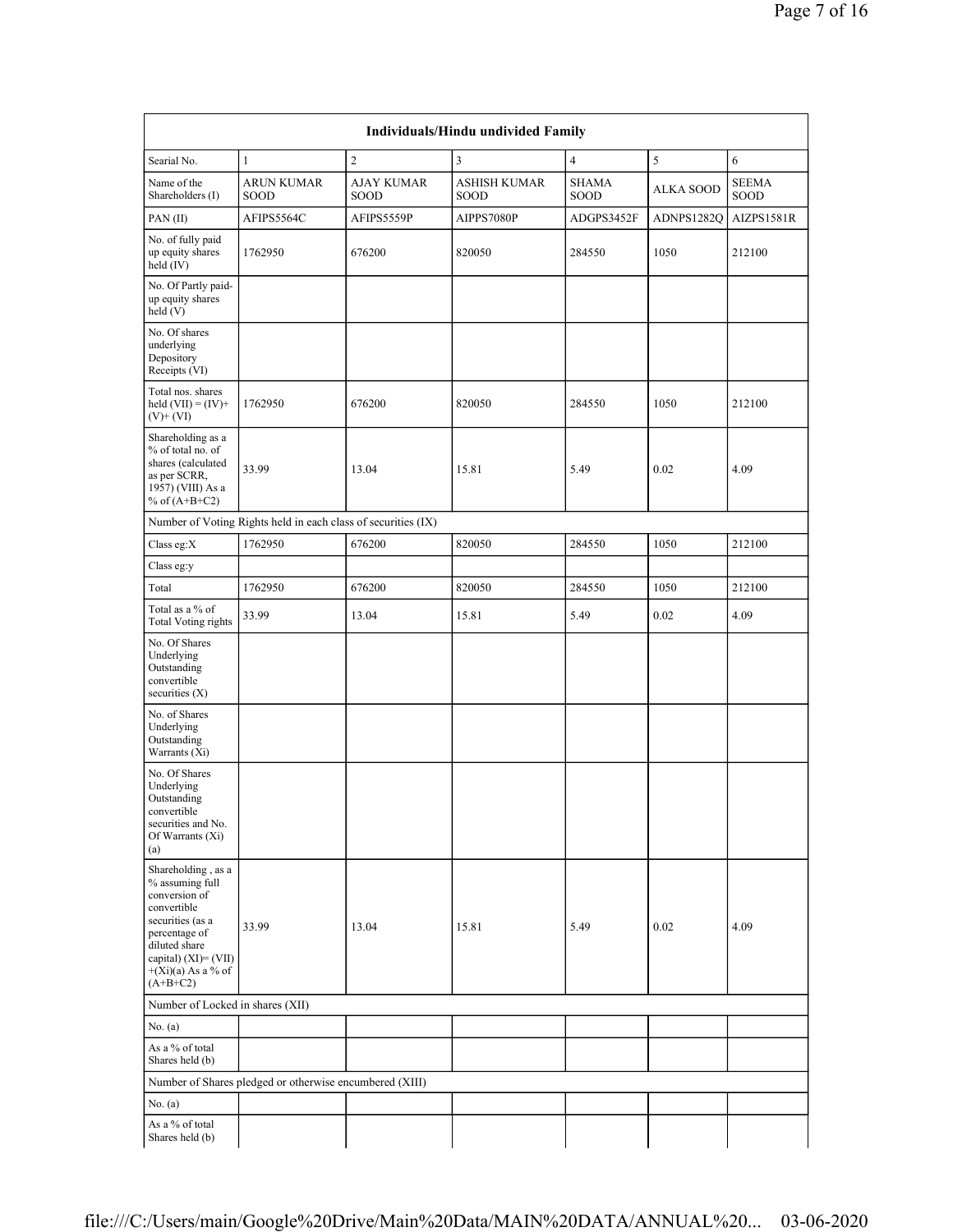|                                                                                                                                                                                              |                                                               |                           | Individuals/Hindu undivided Family |                             |                  |                      |
|----------------------------------------------------------------------------------------------------------------------------------------------------------------------------------------------|---------------------------------------------------------------|---------------------------|------------------------------------|-----------------------------|------------------|----------------------|
| Searial No.                                                                                                                                                                                  | $\mathbf{1}$                                                  | $\overline{c}$            | $\overline{3}$                     | $\overline{4}$              | 5                | 6                    |
| Name of the<br>Shareholders (I)                                                                                                                                                              | <b>ARUN KUMAR</b><br><b>SOOD</b>                              | <b>AJAY KUMAR</b><br>SOOD | <b>ASHISH KUMAR</b><br><b>SOOD</b> | <b>SHAMA</b><br><b>SOOD</b> | <b>ALKA SOOD</b> | <b>SEEMA</b><br>SOOD |
| PAN(II)                                                                                                                                                                                      | AFIPS5564C                                                    | AFIPS5559P                | AIPPS7080P                         | ADGPS3452F                  | ADNPS1282Q       | AIZPS1581R           |
| No. of fully paid<br>up equity shares<br>held $(IV)$                                                                                                                                         | 1762950                                                       | 676200                    | 820050                             | 284550                      | 1050             | 212100               |
| No. Of Partly paid-<br>up equity shares<br>held(V)                                                                                                                                           |                                                               |                           |                                    |                             |                  |                      |
| No. Of shares<br>underlying<br>Depository<br>Receipts (VI)                                                                                                                                   |                                                               |                           |                                    |                             |                  |                      |
| Total nos. shares<br>held $(VII) = (IV) +$<br>$(V)$ + $(VI)$                                                                                                                                 | 1762950                                                       | 676200                    | 820050                             | 284550                      | 1050             | 212100               |
| Shareholding as a<br>% of total no. of<br>shares (calculated<br>as per SCRR,<br>1957) (VIII) As a<br>% of $(A+B+C2)$                                                                         | 33.99                                                         | 13.04                     | 15.81                              | 5.49                        | 0.02             | 4.09                 |
|                                                                                                                                                                                              | Number of Voting Rights held in each class of securities (IX) |                           |                                    |                             |                  |                      |
| Class eg: $X$                                                                                                                                                                                | 1762950                                                       | 676200                    | 820050                             | 284550                      | 1050             | 212100               |
| Class eg:y                                                                                                                                                                                   |                                                               |                           |                                    |                             |                  |                      |
| Total                                                                                                                                                                                        | 1762950                                                       | 676200                    | 820050                             | 284550                      | 1050             | 212100               |
| Total as a % of<br><b>Total Voting rights</b>                                                                                                                                                | 33.99                                                         | 13.04                     | 15.81                              | 5.49                        | 0.02             | 4.09                 |
| No. Of Shares<br>Underlying<br>Outstanding<br>convertible<br>securities $(X)$                                                                                                                |                                                               |                           |                                    |                             |                  |                      |
| No. of Shares<br>Underlying<br>Outstanding<br>Warrants (Xi)                                                                                                                                  |                                                               |                           |                                    |                             |                  |                      |
| No. Of Shares<br>Underlying<br>Outstanding<br>convertible<br>securities and No.<br>Of Warrants (Xi)<br>(a)                                                                                   |                                                               |                           |                                    |                             |                  |                      |
| Shareholding, as a<br>% assuming full<br>conversion of<br>convertible<br>securities (as a<br>percentage of<br>diluted share<br>capital) $(XI) = (VII)$<br>$+(Xi)(a)$ As a % of<br>$(A+B+C2)$ | 33.99                                                         | 13.04                     | 15.81                              | 5.49                        | 0.02             | 4.09                 |
| Number of Locked in shares (XII)                                                                                                                                                             |                                                               |                           |                                    |                             |                  |                      |
| No. $(a)$                                                                                                                                                                                    |                                                               |                           |                                    |                             |                  |                      |
| As a % of total<br>Shares held (b)                                                                                                                                                           |                                                               |                           |                                    |                             |                  |                      |
|                                                                                                                                                                                              | Number of Shares pledged or otherwise encumbered (XIII)       |                           |                                    |                             |                  |                      |
| No. $(a)$                                                                                                                                                                                    |                                                               |                           |                                    |                             |                  |                      |
| As a % of total<br>Shares held (b)                                                                                                                                                           |                                                               |                           |                                    |                             |                  |                      |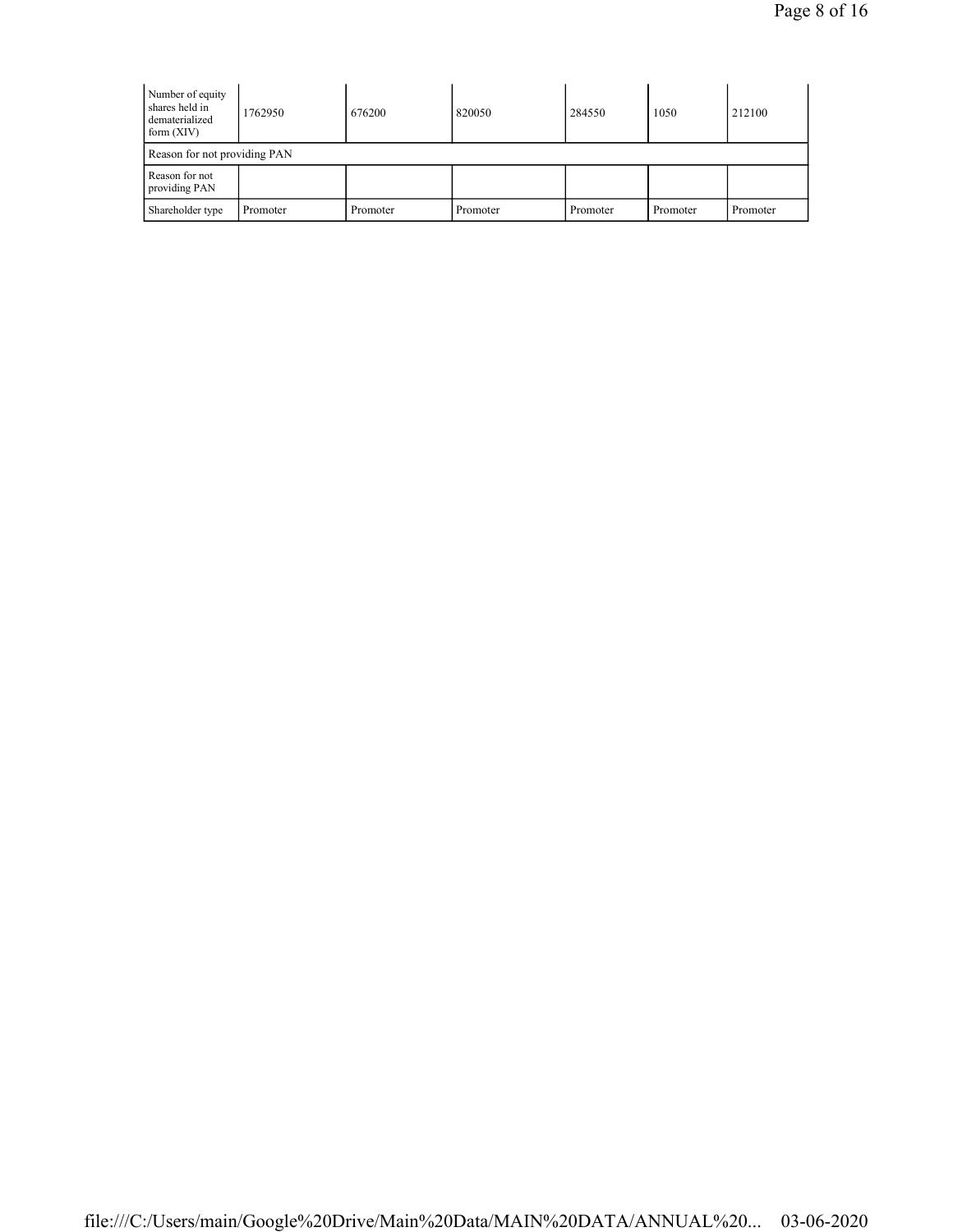| Number of equity<br>shares held in<br>dematerialized<br>form $(XIV)$ | 1762950  | 676200   | 820050   | 284550   | 1050     | 212100   |  |  |  |
|----------------------------------------------------------------------|----------|----------|----------|----------|----------|----------|--|--|--|
| Reason for not providing PAN                                         |          |          |          |          |          |          |  |  |  |
| Reason for not<br>providing PAN                                      |          |          |          |          |          |          |  |  |  |
| Shareholder type                                                     | Promoter | Promoter | Promoter | Promoter | Promoter | Promoter |  |  |  |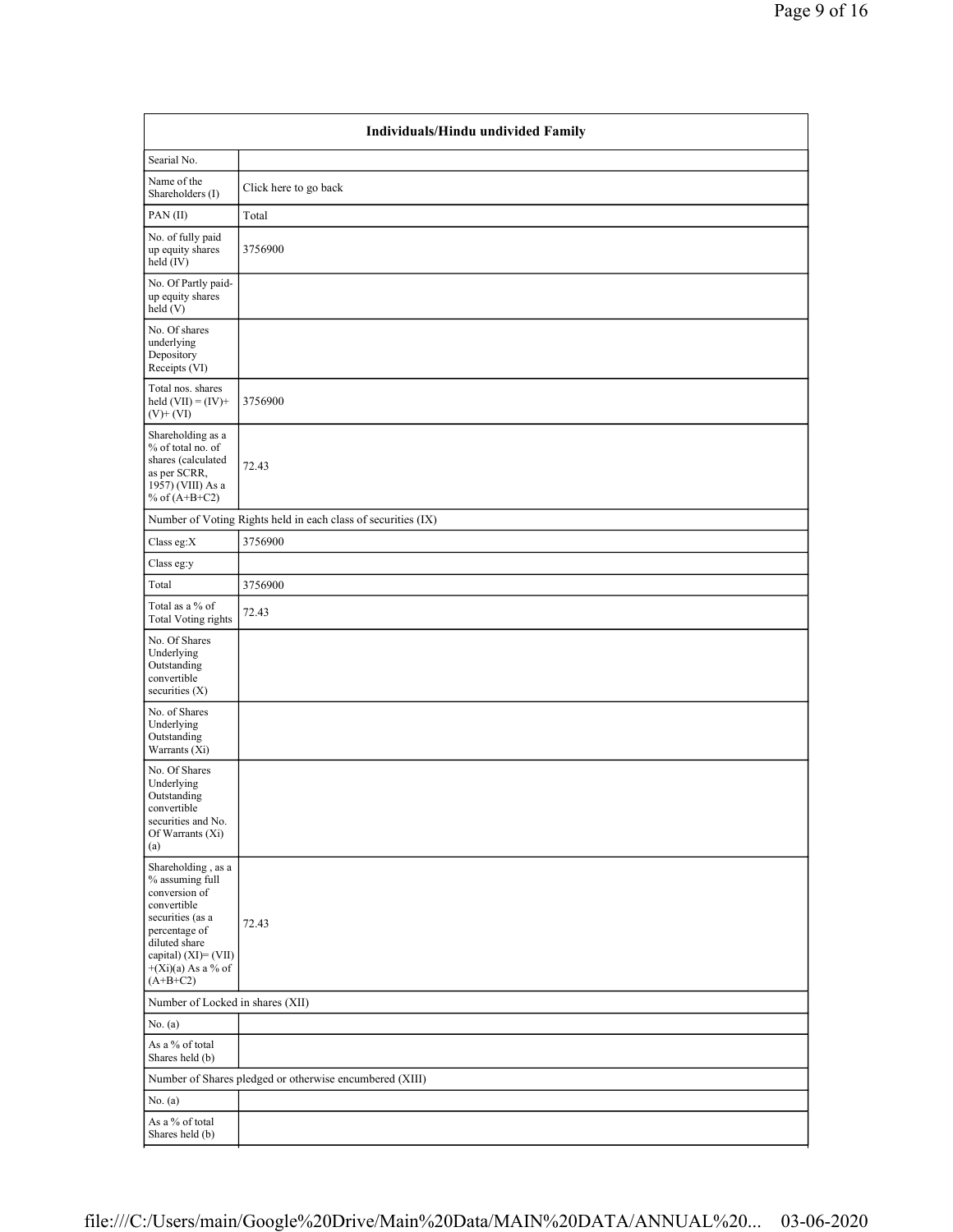|                                                                                                                                                                                           | Individuals/Hindu undivided Family                            |  |  |  |  |  |  |  |  |
|-------------------------------------------------------------------------------------------------------------------------------------------------------------------------------------------|---------------------------------------------------------------|--|--|--|--|--|--|--|--|
| Searial No.                                                                                                                                                                               |                                                               |  |  |  |  |  |  |  |  |
| Name of the<br>Shareholders (I)                                                                                                                                                           | Click here to go back                                         |  |  |  |  |  |  |  |  |
| PAN(II)                                                                                                                                                                                   | Total                                                         |  |  |  |  |  |  |  |  |
| No. of fully paid<br>up equity shares<br>held (IV)                                                                                                                                        | 3756900                                                       |  |  |  |  |  |  |  |  |
| No. Of Partly paid-<br>up equity shares<br>held $(V)$                                                                                                                                     |                                                               |  |  |  |  |  |  |  |  |
| No. Of shares<br>underlying<br>Depository<br>Receipts (VI)                                                                                                                                |                                                               |  |  |  |  |  |  |  |  |
| Total nos. shares<br>held $(VII) = (IV) +$<br>$(V)$ + $(VI)$                                                                                                                              | 3756900                                                       |  |  |  |  |  |  |  |  |
| Shareholding as a<br>% of total no. of<br>shares (calculated<br>as per SCRR,<br>1957) (VIII) As a<br>% of $(A+B+C2)$                                                                      | 72.43                                                         |  |  |  |  |  |  |  |  |
|                                                                                                                                                                                           | Number of Voting Rights held in each class of securities (IX) |  |  |  |  |  |  |  |  |
| Class eg: $X$                                                                                                                                                                             | 3756900                                                       |  |  |  |  |  |  |  |  |
| Class eg:y                                                                                                                                                                                |                                                               |  |  |  |  |  |  |  |  |
| Total                                                                                                                                                                                     | 3756900                                                       |  |  |  |  |  |  |  |  |
| Total as a % of<br><b>Total Voting rights</b>                                                                                                                                             | 72.43                                                         |  |  |  |  |  |  |  |  |
| No. Of Shares<br>Underlying<br>Outstanding<br>convertible<br>securities (X)                                                                                                               |                                                               |  |  |  |  |  |  |  |  |
| No. of Shares<br>Underlying<br>Outstanding<br>Warrants (Xi)                                                                                                                               |                                                               |  |  |  |  |  |  |  |  |
| No. Of Shares<br>Underlying<br>Outstanding<br>convertible<br>securities and No.<br>Of Warrants (Xi)<br>(a)                                                                                |                                                               |  |  |  |  |  |  |  |  |
| Shareholding, as a<br>% assuming full<br>conversion of<br>convertible<br>securities (as a<br>percentage of<br>diluted share<br>capital) (XI)= (VII)<br>$+(Xi)(a)$ As a % of<br>$(A+B+C2)$ | 72.43                                                         |  |  |  |  |  |  |  |  |
| Number of Locked in shares (XII)                                                                                                                                                          |                                                               |  |  |  |  |  |  |  |  |
| No. $(a)$                                                                                                                                                                                 |                                                               |  |  |  |  |  |  |  |  |
| As a % of total<br>Shares held (b)                                                                                                                                                        |                                                               |  |  |  |  |  |  |  |  |
|                                                                                                                                                                                           | Number of Shares pledged or otherwise encumbered (XIII)       |  |  |  |  |  |  |  |  |
| No. $(a)$                                                                                                                                                                                 |                                                               |  |  |  |  |  |  |  |  |
| As a % of total<br>Shares held (b)                                                                                                                                                        |                                                               |  |  |  |  |  |  |  |  |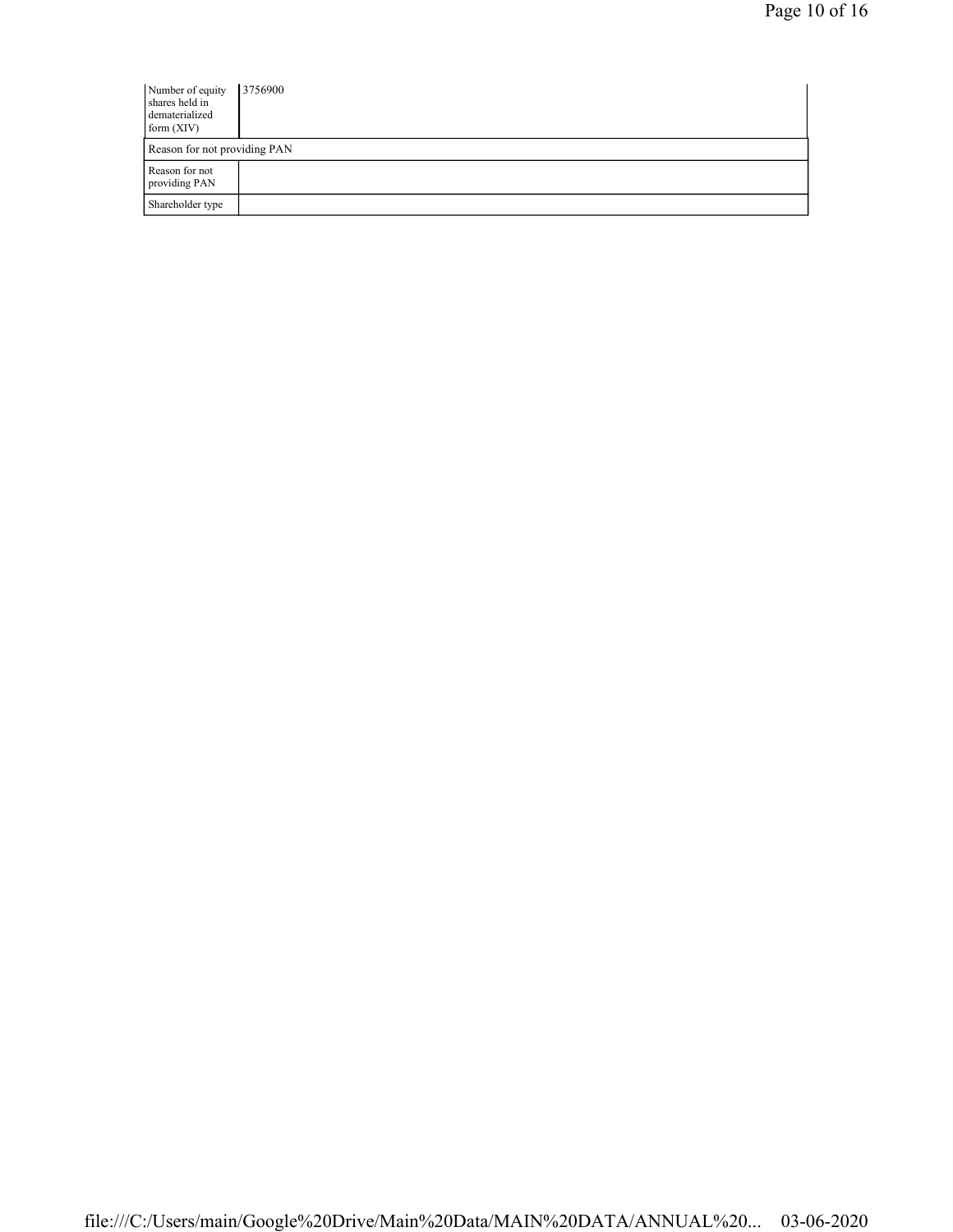| Number of equity<br>shares held in<br>dematerialized<br>form $(XIV)$ | 3756900 |
|----------------------------------------------------------------------|---------|
| Reason for not providing PAN                                         |         |
| Reason for not<br>providing PAN                                      |         |
| Shareholder type                                                     |         |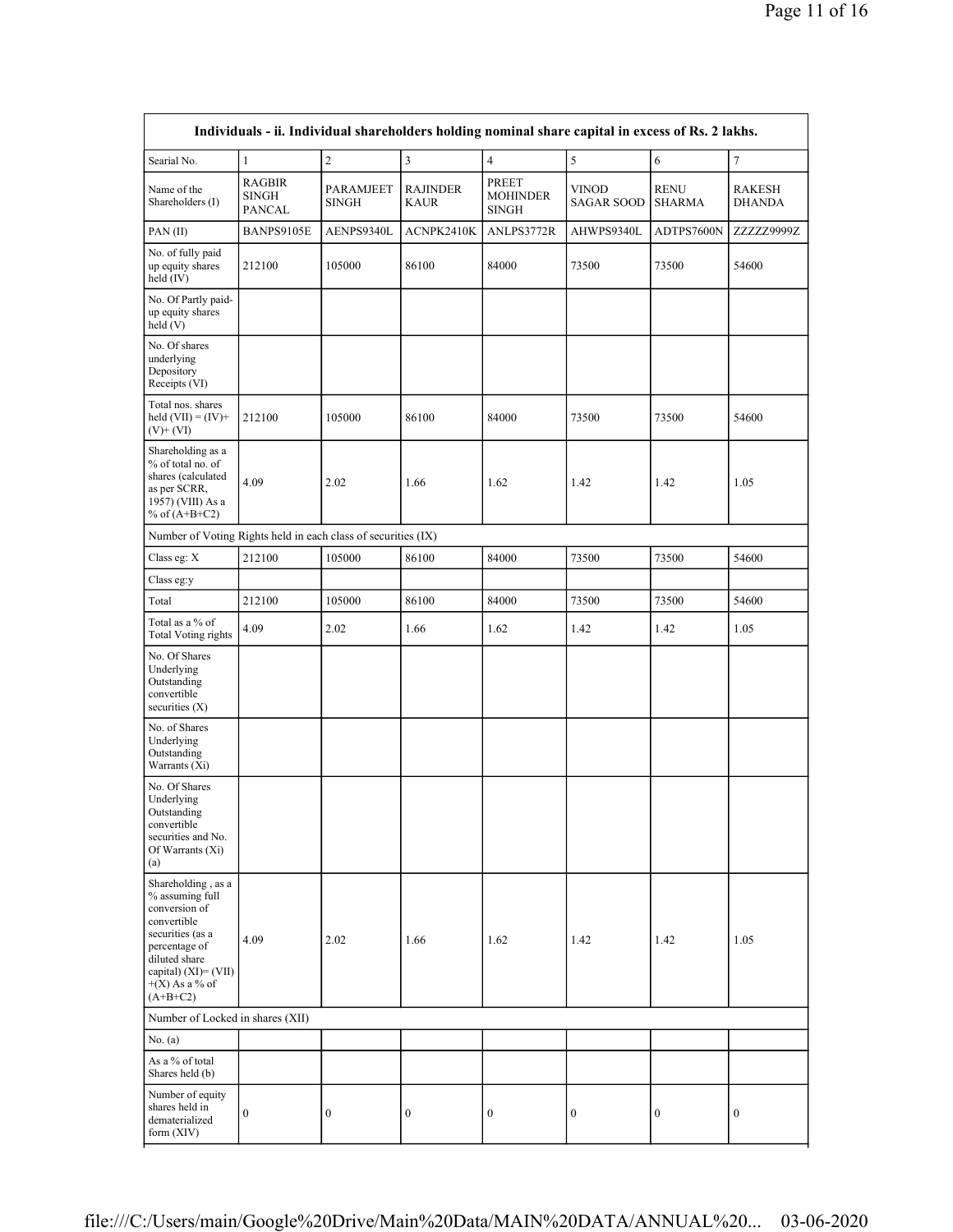| Searial No.                                                                                                                                                                              | $\mathbf{1}$                                   | $\sqrt{2}$                                        | $\overline{\mathbf{3}}$        | $\overline{4}$                           | 5                          | 6                            | $\overline{\mathcal{I}}$ |
|------------------------------------------------------------------------------------------------------------------------------------------------------------------------------------------|------------------------------------------------|---------------------------------------------------|--------------------------------|------------------------------------------|----------------------------|------------------------------|--------------------------|
| Name of the<br>Shareholders (I)                                                                                                                                                          | <b>RAGBIR</b><br><b>SINGH</b><br><b>PANCAL</b> | <b>PARAMJEET</b><br>$\mathop{\rm SINGH}\nolimits$ | <b>RAJINDER</b><br><b>KAUR</b> | PREET<br><b>MOHINDER</b><br><b>SINGH</b> | VINOD<br><b>SAGAR SOOD</b> | <b>RENU</b><br><b>SHARMA</b> | RAKESH<br><b>DHANDA</b>  |
| PAN(II)                                                                                                                                                                                  | BANPS9105E                                     | AENPS9340L                                        | ACNPK2410K                     | ANLPS3772R                               | AHWPS9340L                 | ADTPS7600N                   | ZZZZZ9999Z               |
| No. of fully paid<br>up equity shares<br>held (IV)                                                                                                                                       | 212100                                         | 105000                                            | 86100                          | 84000                                    | 73500                      | 73500                        | 54600                    |
| No. Of Partly paid-<br>up equity shares<br>held $(V)$                                                                                                                                    |                                                |                                                   |                                |                                          |                            |                              |                          |
| No. Of shares<br>underlying<br>Depository<br>Receipts (VI)                                                                                                                               |                                                |                                                   |                                |                                          |                            |                              |                          |
| Total nos. shares<br>held $(VII) = (IV) +$<br>$(V)$ + $(VI)$                                                                                                                             | 212100                                         | 105000                                            | 86100                          | 84000                                    | 73500                      | 73500                        | 54600                    |
| Shareholding as a<br>% of total no. of<br>shares (calculated<br>as per SCRR,<br>1957) (VIII) As a<br>% of $(A+B+C2)$                                                                     | 4.09                                           | 2.02                                              | 1.66                           | 1.62                                     | 1.42                       | 1.42                         | 1.05                     |
| Number of Voting Rights held in each class of securities (IX)                                                                                                                            |                                                |                                                   |                                |                                          |                            |                              |                          |
| Class eg: X                                                                                                                                                                              | 212100                                         | 105000                                            | 86100                          | 84000                                    | 73500                      | 73500                        | 54600                    |
| Class eg:y                                                                                                                                                                               |                                                |                                                   |                                |                                          |                            |                              |                          |
| Total                                                                                                                                                                                    | 212100                                         | 105000                                            | 86100                          | 84000                                    | 73500                      | 73500                        | 54600                    |
| Total as a % of<br><b>Total Voting rights</b>                                                                                                                                            | 4.09                                           | 2.02                                              | 1.66                           | 1.62                                     | 1.42                       | 1.42                         | 1.05                     |
| No. Of Shares<br>Underlying<br>Outstanding<br>convertible<br>securities $(X)$                                                                                                            |                                                |                                                   |                                |                                          |                            |                              |                          |
| No. of Shares<br>Underlying<br>Outstanding<br>Warrants (Xi)                                                                                                                              |                                                |                                                   |                                |                                          |                            |                              |                          |
| No. Of Shares<br>Underlying<br>Outstanding<br>convertible<br>securities and No.<br>Of Warrants (Xi)<br>(a)                                                                               |                                                |                                                   |                                |                                          |                            |                              |                          |
| Shareholding, as a<br>% assuming full<br>conversion of<br>convertible<br>securities (as a<br>percentage of<br>diluted share<br>capital) $(XI) = (VII)$<br>$+(X)$ As a % of<br>$(A+B+C2)$ | 4.09                                           | 2.02                                              | 1.66                           | 1.62                                     | 1.42                       | 1.42                         | 1.05                     |
| Number of Locked in shares (XII)                                                                                                                                                         |                                                |                                                   |                                |                                          |                            |                              |                          |
| No. $(a)$                                                                                                                                                                                |                                                |                                                   |                                |                                          |                            |                              |                          |
| As a % of total<br>Shares held (b)                                                                                                                                                       |                                                |                                                   |                                |                                          |                            |                              |                          |
| Number of equity<br>shares held in<br>dematerialized                                                                                                                                     | $\boldsymbol{0}$                               | $\mathbf{0}$                                      | $\boldsymbol{0}$               | $\boldsymbol{0}$                         | $\boldsymbol{0}$           | $\boldsymbol{0}$             | $\boldsymbol{0}$         |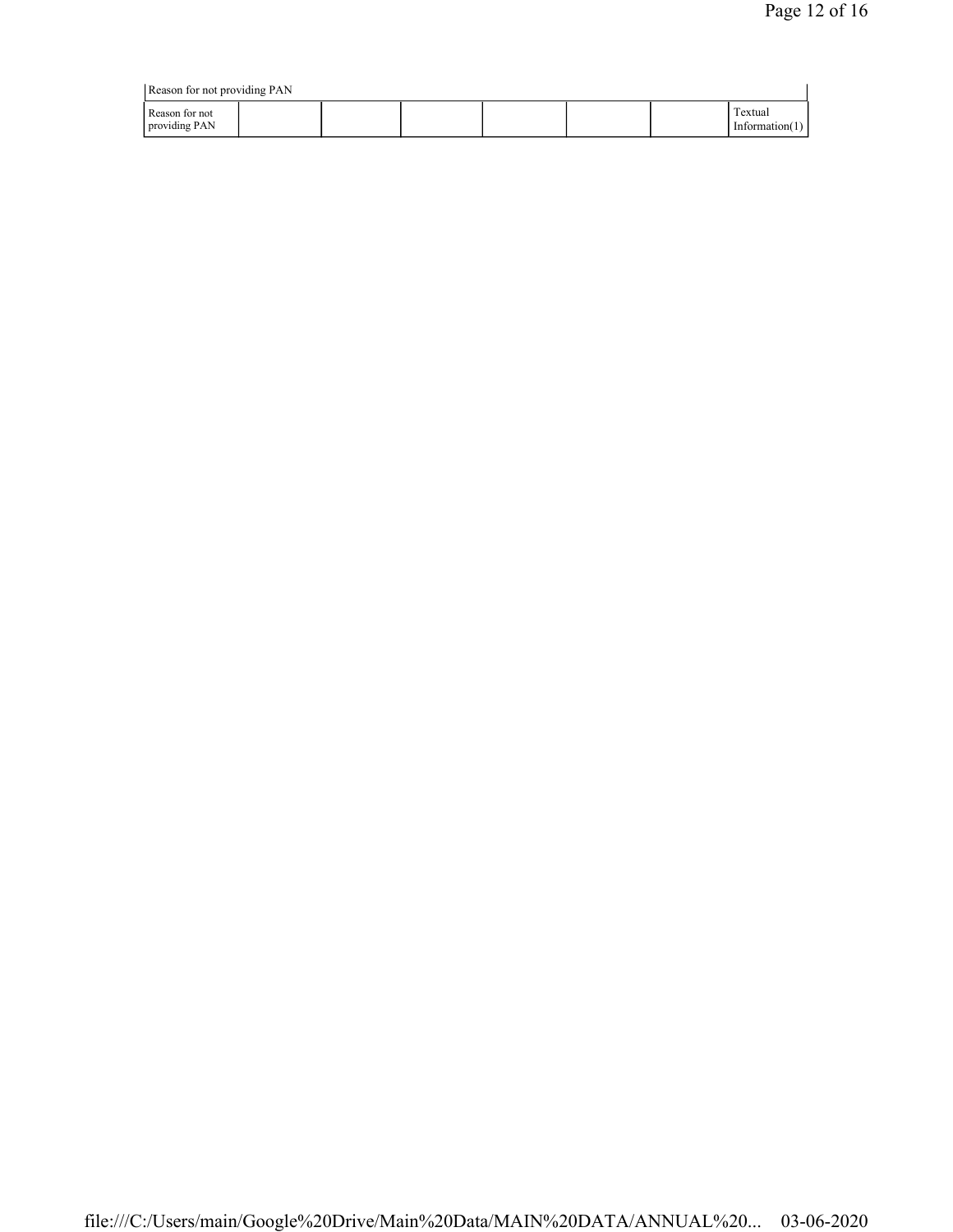| Reason for not providing PAN    |  |                              |  |
|---------------------------------|--|------------------------------|--|
| Reason for not<br>providing PAN |  | Textual<br>Information $(1)$ |  |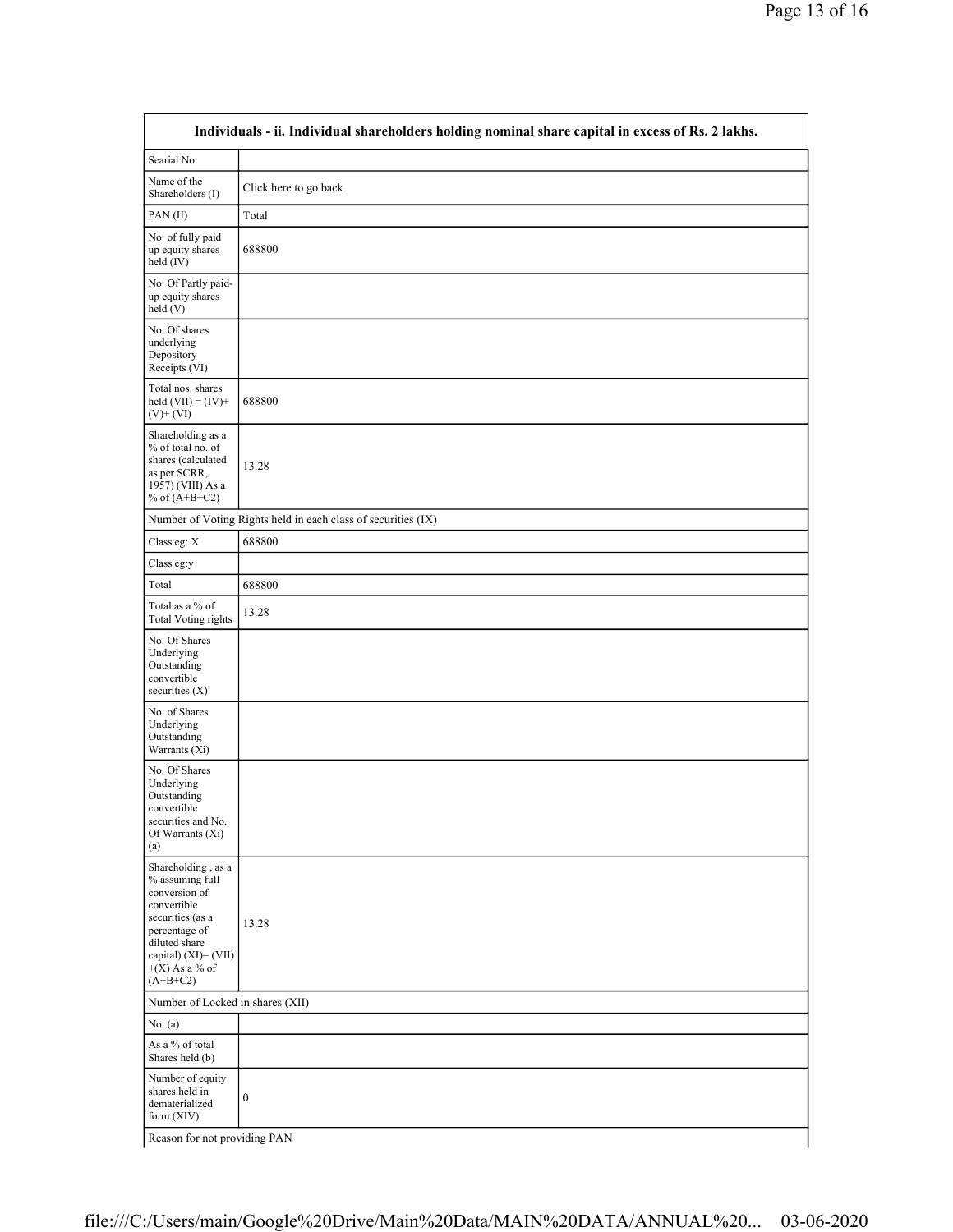| Searial No.                                                                                                                                                                              |                                                               |
|------------------------------------------------------------------------------------------------------------------------------------------------------------------------------------------|---------------------------------------------------------------|
| Name of the<br>Shareholders (I)                                                                                                                                                          | Click here to go back                                         |
| PAN(II)                                                                                                                                                                                  | Total                                                         |
| No. of fully paid<br>up equity shares<br>$\text{held}(\text{IV})$                                                                                                                        | 688800                                                        |
| No. Of Partly paid-<br>up equity shares<br>$\text{held}(V)$                                                                                                                              |                                                               |
| No. Of shares<br>underlying<br>Depository<br>Receipts (VI)                                                                                                                               |                                                               |
| Total nos. shares<br>held $(VII) = (IV) +$<br>$(V)$ + $(VI)$                                                                                                                             | 688800                                                        |
| Shareholding as a<br>% of total no. of<br>shares (calculated<br>as per SCRR,<br>$1957)$ (VIII) As a<br>% of $(A+B+C2)$                                                                   | 13.28                                                         |
|                                                                                                                                                                                          | Number of Voting Rights held in each class of securities (IX) |
| Class eg: $\mathbf X$                                                                                                                                                                    | 688800                                                        |
| Class eg:y                                                                                                                                                                               |                                                               |
| Total                                                                                                                                                                                    | 688800                                                        |
| Total as a % of<br><b>Total Voting rights</b>                                                                                                                                            | 13.28                                                         |
| No. Of Shares<br>Underlying<br>Outstanding<br>convertible<br>securities (X)                                                                                                              |                                                               |
| No. of Shares<br>Underlying<br>Outstanding<br>Warrants $(X_i)$                                                                                                                           |                                                               |
| No. Of Shares<br>Underlying<br>Outstanding<br>convertible<br>securities and No.<br>Of Warrants (Xi)<br>(a)                                                                               |                                                               |
| Shareholding, as a<br>% assuming full<br>conversion of<br>convertible<br>securities (as a<br>percentage of<br>diluted share<br>capital) $(XI) = (VII)$<br>$+(X)$ As a % of<br>$(A+B+C2)$ | 13.28                                                         |
| Number of Locked in shares (XII)                                                                                                                                                         |                                                               |
| No. $(a)$                                                                                                                                                                                |                                                               |
| As a % of total<br>Shares held (b)                                                                                                                                                       |                                                               |
| Number of equity<br>shares held in<br>dematerialized<br>form (XIV)                                                                                                                       | $\bf{0}$                                                      |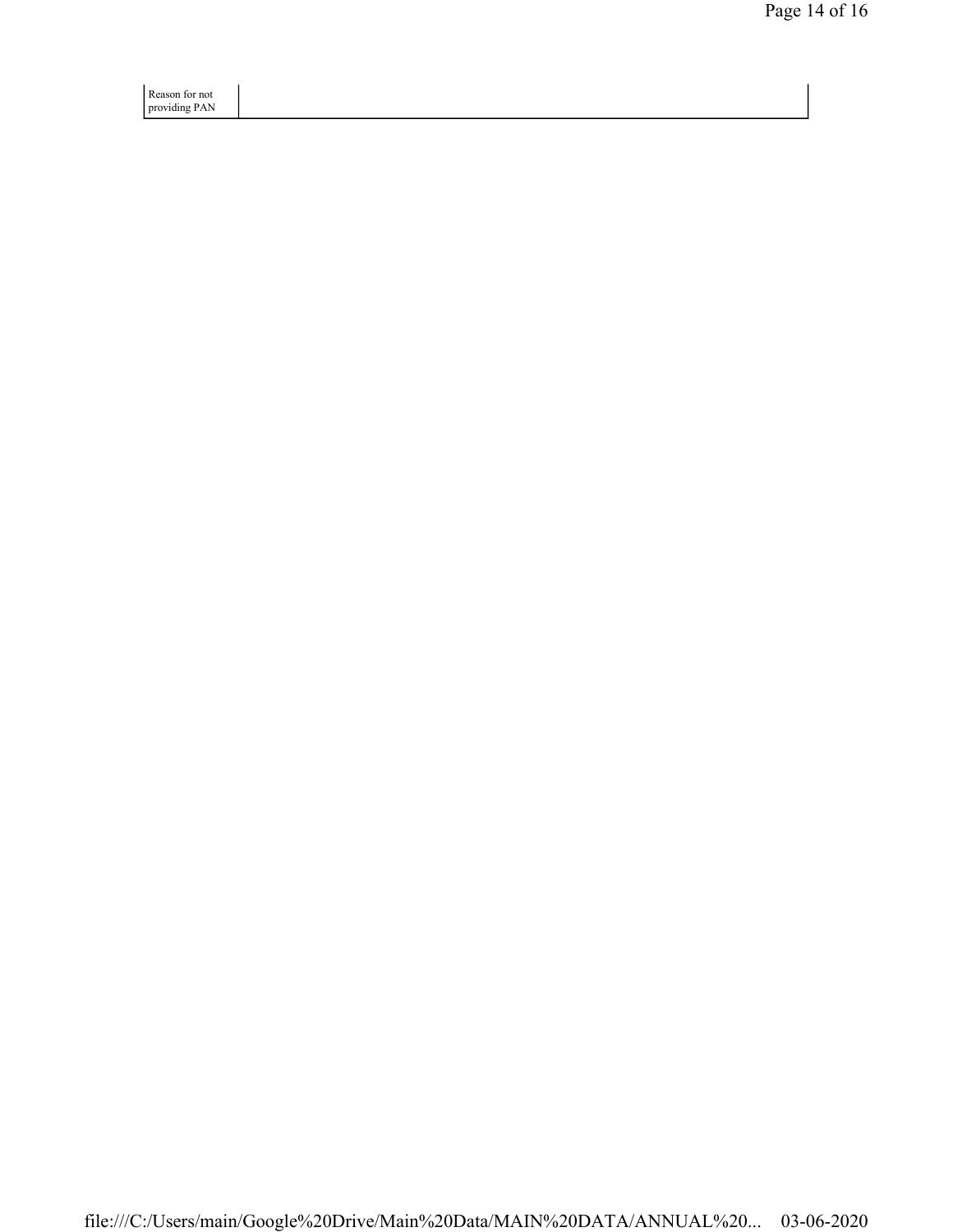Reason for not providing PAN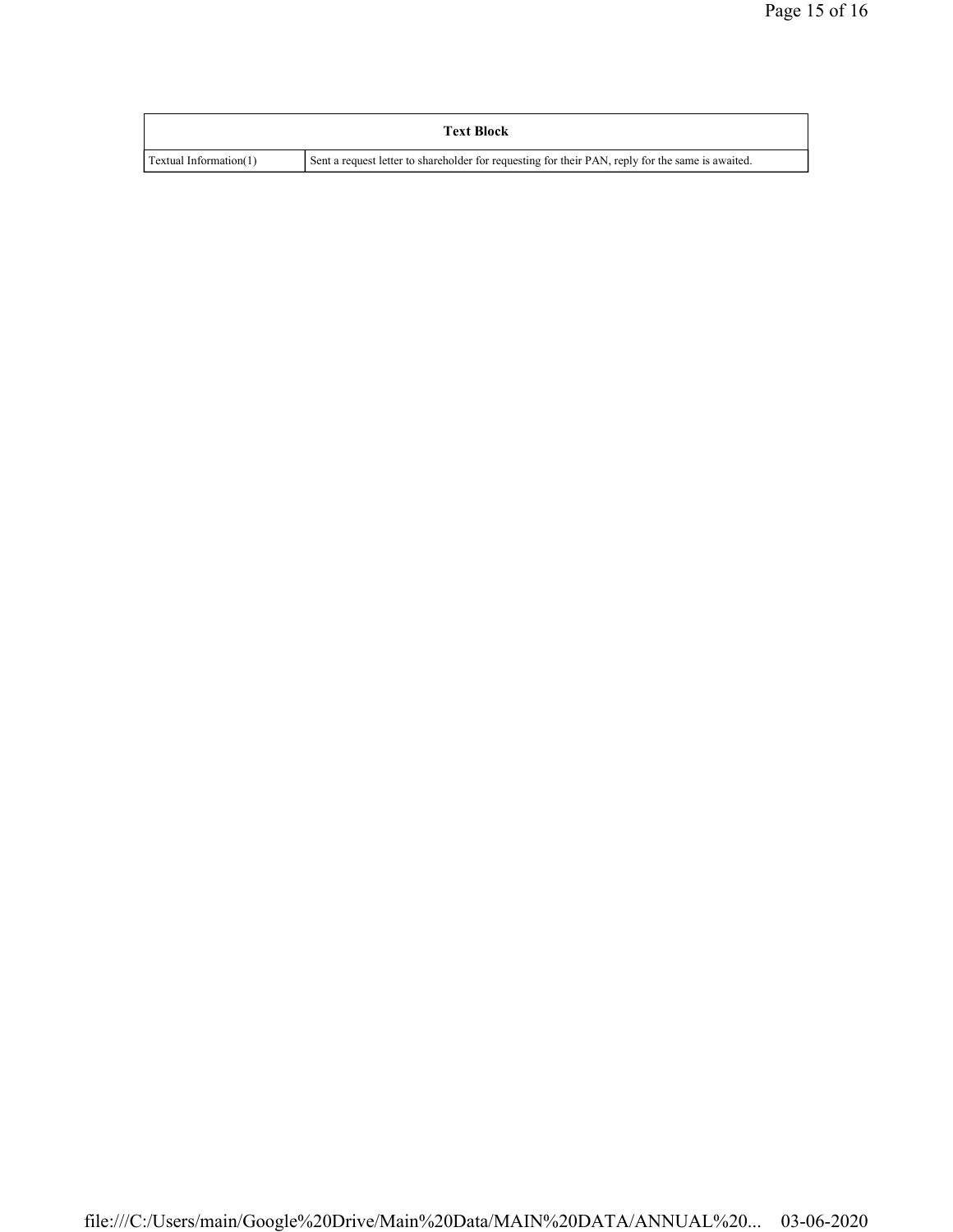| <b>Text Block</b>      |                                                                                                   |  |  |
|------------------------|---------------------------------------------------------------------------------------------------|--|--|
| Textual Information(1) | Sent a request letter to shareholder for requesting for their PAN, reply for the same is awaited. |  |  |